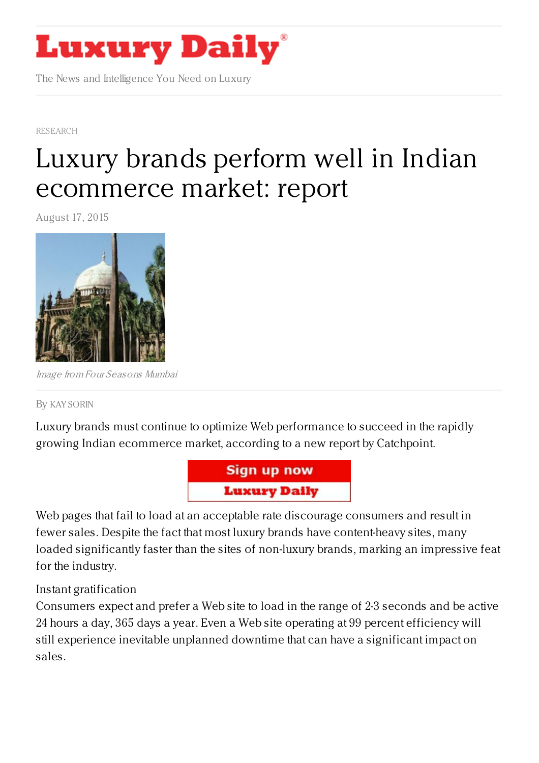

The News and Intelligence You Need on Luxury

[RESEARCH](https://www.luxurydaily.com/category/news/research/)

## Luxury brands perform well in Indian [ecommerce](https://www.luxurydaily.com/luxury-brands-perform-well-in-indian-ecommerce-market-report/) market: report

August 17, 2015



Image from Four Seasons Mumbai

## By KAY [SORIN](/author/kay-sorin)

Luxury brands must continue to optimize Web performance to succeed in the rapidly growing Indian ecommerce market, according to a new report by Catchpoint.



Web pages that fail to load at an acceptable rate discourage consumers and result in fewer sales. Despite the fact that most luxury brands have content-heavy sites, many loaded significantly faster than the sites of non-luxury brands, marking an impressive feat for the industry.

## Instant gratification

Consumers expect and prefer a Web site to load in the range of 2-3 seconds and be active 24 hours a day, 365 days a year. Even a Web site operating at 99 percent efficiency will still experience inevitable unplanned downtime that can have a significant impact on sales.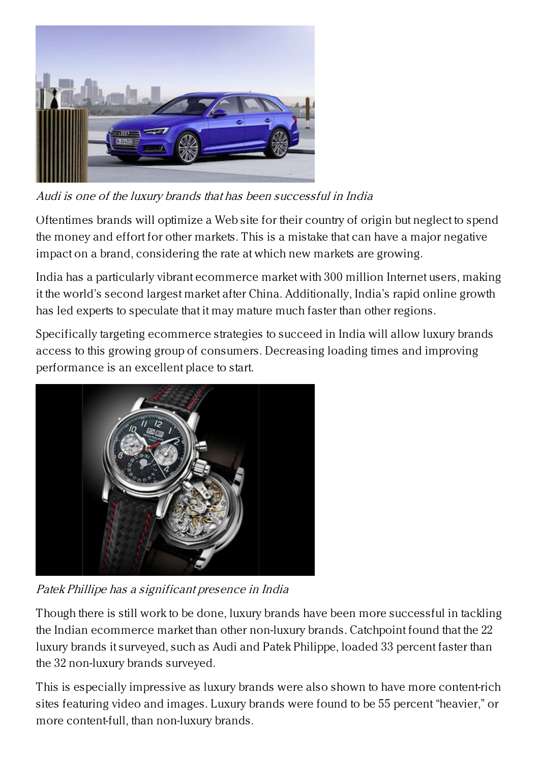

Audi is one of the luxury brands that has been successful in India

Oftentimes brands will optimize a Web site for their country of origin but neglect to spend the money and effort for other markets. This is a mistake that can have a major negative impact on a brand, considering the rate at which new markets are growing.

India has a particularly vibrant ecommerce market with 300 million Internet users, making it the world's second largest market after China. Additionally, India's rapid online growth has led experts to speculate that it may mature much faster than other regions.

Specifically targeting ecommerce strategies to succeed in India will allow luxury brands access to this growing group of consumers. Decreasing loading times and improving performance is an excellent place to start.



Patek Phillipe has <sup>a</sup> significant presence in India

Though there is still work to be done, luxury brands have been more successful in tackling the Indian ecommerce market than other non-luxury brands. Catchpoint found that the 22 luxury brands it surveyed, such as Audi and Patek Philippe, loaded 33 percent faster than the 32 non-luxury brands surveyed.

This is especially impressive as luxury brands were also shown to have more content-rich sites featuring video and images. Luxury brands were found to be 55 percent "heavier," or more content-full, than non-luxury brands.